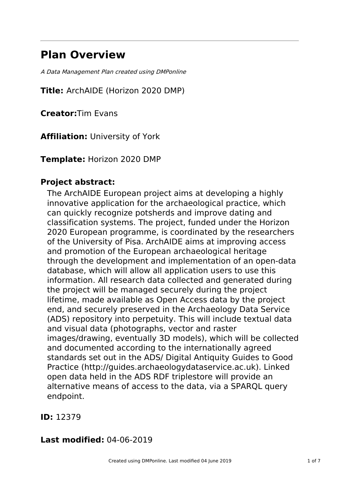# **Plan Overview**

A Data Management Plan created using DMPonline

**Title:** ArchAIDE (Horizon 2020 DMP)

**Creator:**Tim Evans

**Affiliation:** University of York

**Template:** Horizon 2020 DMP

## **Project abstract:**

The ArchAIDE European project aims at developing a highly innovative application for the archaeological practice, which can quickly recognize potsherds and improve dating and classification systems. The project, funded under the Horizon 2020 European programme, is coordinated by the researchers of the University of Pisa. ArchAIDE aims at improving access and promotion of the European archaeological heritage through the development and implementation of an open-data database, which will allow all application users to use this information. All research data collected and generated during the project will be managed securely during the project lifetime, made available as Open Access data by the project end, and securely preserved in the Archaeology Data Service (ADS) repository into perpetuity. This will include textual data and visual data (photographs, vector and raster images/drawing, eventually 3D models), which will be collected and documented according to the internationally agreed standards set out in the ADS/ Digital Antiquity Guides to Good Practice (http://guides.archaeologydataservice.ac.uk). Linked open data held in the ADS RDF triplestore will provide an alternative means of access to the data, via a SPARQL query endpoint.

### **ID:** 12379

# **Last modified:** 04-06-2019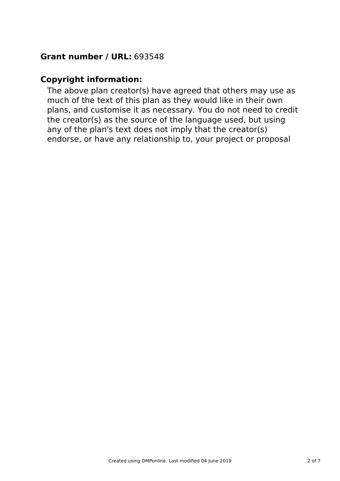# **Grant number / URL:** 693548

## **Copyright information:**

The above plan creator(s) have agreed that others may use as much of the text of this plan as they would like in their own plans, and customise it as necessary. You do not need to credit the creator(s) as the source of the language used, but using any of the plan's text does not imply that the creator(s) endorse, or have any relationship to, your project or proposal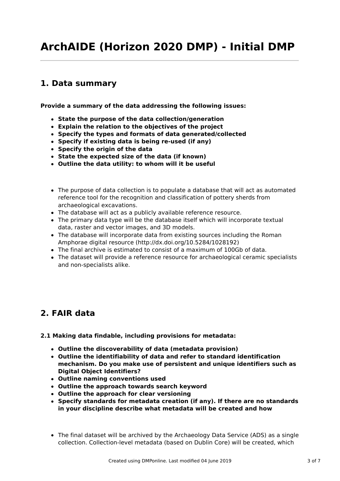# **1. Data summary**

**Provide a summary of the data addressing the following issues:**

- **State the purpose of the data collection/generation**
- **Explain the relation to the objectives of the project**
- **Specify the types and formats of data generated/collected**
- **Specify if existing data is being re-used (if any)**
- **Specify the origin of the data**
- **State the expected size of the data (if known)**
- **Outline the data utility: to whom will it be useful**
- The purpose of data collection is to populate a database that will act as automated reference tool for the recognition and classification of pottery sherds from archaeological excavations.
- The database will act as a publicly available reference resource.
- The primary data type will be the database itself which will incorporate textual data, raster and vector images, and 3D models.
- The database will incorporate data from existing sources including the Roman Amphorae digital resource (http://dx.doi.org/10.5284/1028192)
- The final archive is estimated to consist of a maximum of 100Gb of data.
- The dataset will provide a reference resource for archaeological ceramic specialists and non-specialists alike.

# **2. FAIR data**

#### **2.1 Making data findable, including provisions for metadata:**

- **Outline the discoverability of data (metadata provision)**
- **Outline the identifiability of data and refer to standard identification mechanism. Do you make use of persistent and unique identifiers such as Digital Object Identifiers?**
- **Outline naming conventions used**
- **Outline the approach towards search keyword**
- **Outline the approach for clear versioning**
- **Specify standards for metadata creation (if any). If there are no standards in your discipline describe what metadata will be created and how**
- The final dataset will be archived by the Archaeology Data Service (ADS) as a single collection. Collection-level metadata (based on Dublin Core) will be created, which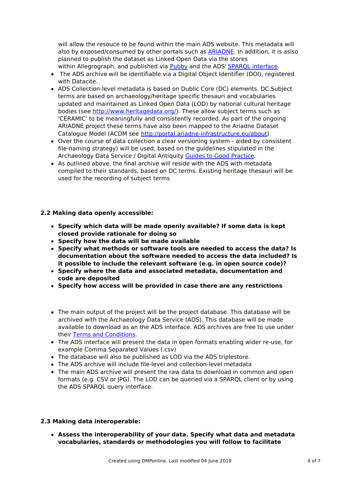will allow the resouce to be found within the main ADS website. This metadata will also by exposed/consumed by other portals such as [ARIADNE](http://portal.ariadne-infrastructure.eu/). In addition, it is aslso planned to publish the dataset as Linked Open Data via the stores within Allegrograph, and published via [Pubby](http://data.archaeologydataservice.ac.uk/page/) and the ADS' SPARQL [interface](http://data.archaeologydataservice.ac.uk/query).

- The ADS archive will be identifiable via a Digital Object Identifier (DOI), registered with Datacite.
- ADS Collection-level metadata is based on Dublic Core (DC) elements. DC.Subject terms are based on archaeology/heritage specific thesauri and vocabularies updated and maintained as Linked Open Data (LOD) by national cultural heritage bodies (see <http://www.heritagedata.org/>). These allow subject terms such as 'CERAMIC' to be meaningfully and consistently recorded. As part of the ongoing ARIADNE project these terms have also been mapped to the Ariadne Dataset Catalogue Model (ACDM see <http://portal.ariadne-infrastructure.eu/about>)
- Over the course of data collection a clear versioning system aided by consistent file-naming strategy) will be used, based on the guidelines stipulated in the Archaeology Data Service / Digital Antiquity Guides to Good [Practice](http://guides.archaeologydataservice.ac.uk/g2gp/CreateData_1-0).
- As outlined above, the final archive will reside with the ADS with metadata compiled to their standards, based on DC terms. Existing heritage thesauri will be used for the recording of subject terms

#### **2.2 Making data openly accessible:**

- **Specify which data will be made openly available? If some data is kept closed provide rationale for doing so**
- **Specify how the data will be made available**
- **Specify what methods or software tools are needed to access the data? Is documentation about the software needed to access the data included? Is it possible to include the relevant software (e.g. in open source code)?**
- **Specify where the data and associated metadata, documentation and code are deposited**
- **Specify how access will be provided in case there are any restrictions**
- The main output of the project will be the project database. This database will be archived with the Archaeology Data Service (ADS). This database will be made available to download as an the ADS interface. ADS archives are free to use under their Terms and [Conditions](http://archaeologydataservice.ac.uk/advice/termsOfUseAndAccess).
- The ADS interface will present the data in open formats enabling wider re-use, for example Comma Separated Values (.csv)
- The database will also be published as LOD via the ADS triplestore.
- The ADS archive will include file-level and collection-level metadata
- The main ADS archive will present the raw data to download in common and open formats (e.g. CSV or JPG). The LOD can be queried via a SPARQL client or by using the ADS SPARQL query interface.

#### **2.3 Making data interoperable:**

**Assess the interoperability of your data. Specify what data and metadata vocabularies, standards or methodologies you will follow to facilitate**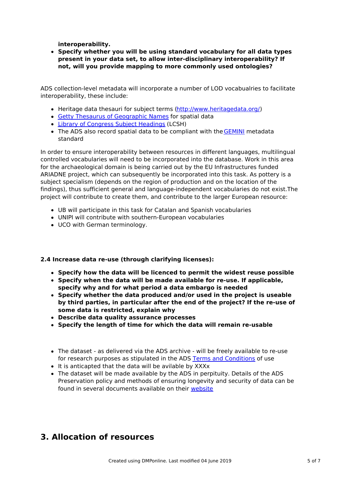**interoperability.**

**Specify whether you will be using standard vocabulary for all data types present in your data set, to allow inter-disciplinary interoperability? If not, will you provide mapping to more commonly used ontologies?**

ADS collection-level metadata will incorporate a number of LOD vocabualries to facilitate interoperability, these include:

- Heritage data thesauri for subject terms [\(http://www.heritagedata.org/](http://www.heritagedata.org/))
- Getty Thesaurus of [Geographic](http://www.getty.edu/research/tools/vocabularies/tgn/) Names for spatial data
- Library of [Congress](http://authorities.loc.gov/) Subject Headings (LCSH)
- The ADS also record spatial data to be compliant with the [GEMINI](http://www.agi.org.uk/agi-group/standards-committee/uk-gemini) metadata standard

In order to ensure interoperability between resources in different languages, multilingual controlled vocabularies will need to be incorporated into the database. Work in this area for the archaeological domain is being carried out by the EU Infrastructures funded ARIADNE project, which can subsequently be incorporated into this task. As pottery is a subject specialism (depends on the region of production and on the location of the findings), thus sufficient general and language-independent vocabularies do not exist.The project will contribute to create them, and contribute to the larger European resource:

- UB will participate in this task for Catalan and Spanish vocabularies
- UNIPI will contribute with southern-European vocabularies
- UCO with German terminology.

#### **2.4 Increase data re-use (through clarifying licenses):**

- **Specify how the data will be licenced to permit the widest reuse possible**
- **Specify when the data will be made available for re-use. If applicable, specify why and for what period a data embargo is needed**
- **Specify whether the data produced and/or used in the project is useable by third parties, in particular after the end of the project? If the re-use of some data is restricted, explain why**
- **Describe data quality assurance processes**
- **Specify the length of time for which the data will remain re-usable**
- The dataset as delivered via the ADS archive will be freely available to re-use for research purposes as stipulated in the ADS Terms and [Conditions](http://archaeologydataservice.ac.uk/advice/termsOfUseAndAccess) of use
- It is anticapted that the data will be avilable by XXXx
- The dataset will be made available by the ADS in perpituity. Details of the ADS Preservation policy and methods of ensuring longevity and security of data can be found in several documents available on their [website](http://archaeologydataservice.ac.uk/advice/preservation)

### **3. Allocation of resources**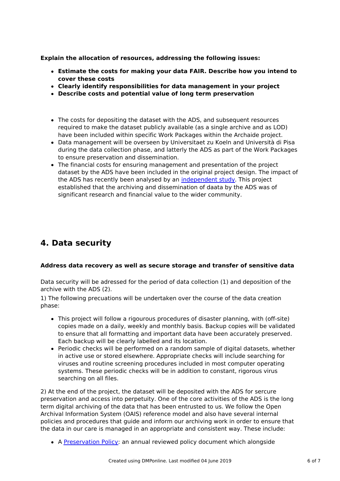**Explain the allocation of resources, addressing the following issues:**

- **Estimate the costs for making your data FAIR. Describe how you intend to cover these costs**
- **Clearly identify responsibilities for data management in your project**
- **Describe costs and potential value of long term preservation**
- The costs for depositing the dataset with the ADS, and subsequent resources required to make the dataset publicly available (as a single archive and as LOD) have been included within specific Work Packages within the Archaide project.
- Data management will be overseen by Universitaet zu Koeln and Università di Pisa during the data collection phase, and latterly the ADS as part of the Work Packages to ensure preservation and dissemination.
- The financial costs for ensuring management and presentation of the project dataset by the ADS have been included in the original project design. The impact of the ADS has recently been analysed by an [independent](http://archaeologydataservice.ac.uk/research/impact) study. This project established that the archiving and dissemination of daata by the ADS was of significant research and financial value to the wider community.

# **4. Data security**

#### **Address data recovery as well as secure storage and transfer of sensitive data**

Data security will be adressed for the period of data collection (1) and deposition of the archive with the ADS (2).

1) The following precuations will be undertaken over the course of the data creation phase:

- This project will follow a rigourous procedures of disaster planning, with (off-site) copies made on a daily, weekly and monthly basis. Backup copies will be validated to ensure that all formatting and important data have been accurately preserved. Each backup will be clearly labelled and its location.
- Periodic checks will be performed on a random sample of digital datasets, whether in active use or stored elsewhere. Appropriate checks will include searching for viruses and routine screening procedures included in most computer operating systems. These periodic checks will be in addition to constant, rigorous virus searching on all files.

2) At the end of the project, the dataset will be deposited with the ADS for sercure preservation and access into perpetuity. One of the core activities of the ADS is the long term digital archiving of the data that has been entrusted to us. We follow the Open Archival Information System (OAIS) reference model and also have several internal policies and procedures that guide and inform our archiving work in order to ensure that the data in our care is managed in an appropriate and consistent way. These include:

A [Preservation](http://archaeologydataservice.ac.uk/advice/PreservationPolicyRev) Policy: an annual reviewed policy document which alongside